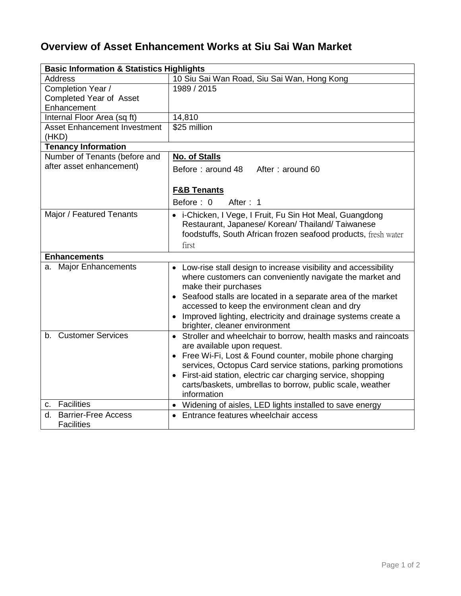## **Overview of Asset Enhancement Works at Siu Sai Wan Market**

| <b>Basic Information &amp; Statistics Highlights</b>  |                                                                                                               |
|-------------------------------------------------------|---------------------------------------------------------------------------------------------------------------|
| <b>Address</b>                                        | 10 Siu Sai Wan Road, Siu Sai Wan, Hong Kong                                                                   |
| Completion Year /                                     | 1989 / 2015                                                                                                   |
| Completed Year of Asset                               |                                                                                                               |
| Enhancement                                           |                                                                                                               |
| Internal Floor Area (sq ft)                           | 14,810                                                                                                        |
| <b>Asset Enhancement Investment</b><br>(HKD)          | \$25 million                                                                                                  |
| <b>Tenancy Information</b>                            |                                                                                                               |
| Number of Tenants (before and                         | <b>No. of Stalls</b>                                                                                          |
| after asset enhancement)                              | Before: around 48<br>After: around 60                                                                         |
|                                                       | <b>F&amp;B Tenants</b>                                                                                        |
|                                                       | Before: 0<br>After: 1                                                                                         |
|                                                       |                                                                                                               |
| Major / Featured Tenants                              | • i-Chicken, I Vege, I Fruit, Fu Sin Hot Meal, Guangdong<br>Restaurant, Japanese/ Korean/ Thailand/ Taiwanese |
|                                                       | foodstuffs, South African frozen seafood products, fresh water                                                |
|                                                       |                                                                                                               |
|                                                       | first                                                                                                         |
| <b>Enhancements</b>                                   |                                                                                                               |
| a. Major Enhancements                                 | • Low-rise stall design to increase visibility and accessibility                                              |
|                                                       | where customers can conveniently navigate the market and<br>make their purchases                              |
|                                                       | Seafood stalls are located in a separate area of the market                                                   |
|                                                       | accessed to keep the environment clean and dry                                                                |
|                                                       | Improved lighting, electricity and drainage systems create a<br>brighter, cleaner environment                 |
| b. Customer Services                                  | Stroller and wheelchair to borrow, health masks and raincoats<br>$\bullet$                                    |
|                                                       | are available upon request.                                                                                   |
|                                                       | Free Wi-Fi, Lost & Found counter, mobile phone charging                                                       |
|                                                       | services, Octopus Card service stations, parking promotions                                                   |
|                                                       | First-aid station, electric car charging service, shopping<br>$\bullet$                                       |
|                                                       | carts/baskets, umbrellas to borrow, public scale, weather                                                     |
|                                                       | information                                                                                                   |
| c. Facilities                                         | Widening of aisles, LED lights installed to save energy<br>$\bullet$                                          |
| <b>Barrier-Free Access</b><br>d.<br><b>Facilities</b> | Entrance features wheelchair access<br>$\bullet$                                                              |